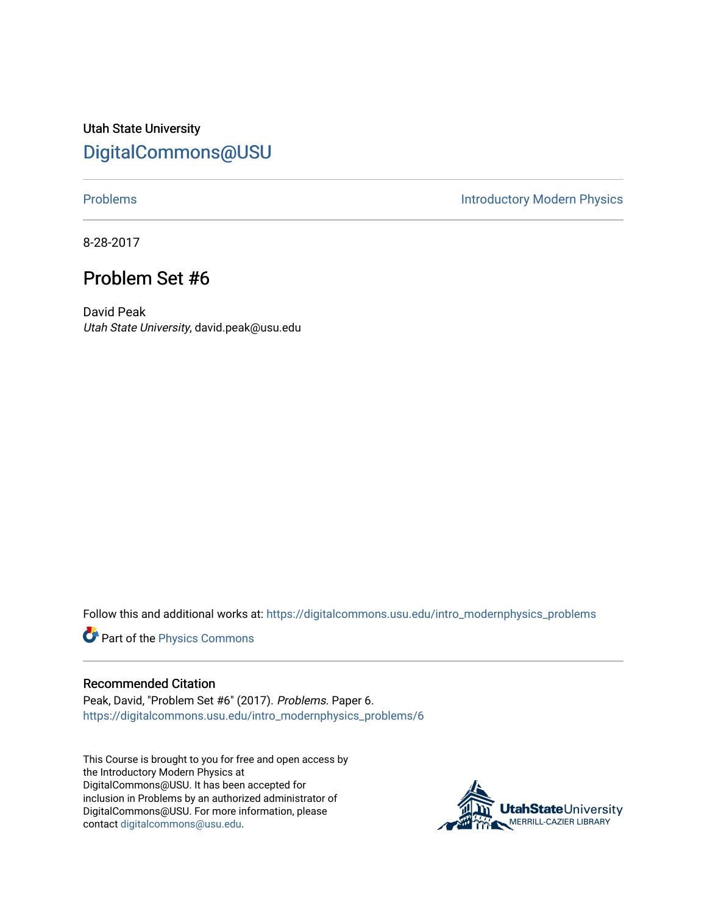Utah State University [DigitalCommons@USU](https://digitalcommons.usu.edu/)

[Problems](https://digitalcommons.usu.edu/intro_modernphysics_problems) **Introductory Modern Physics** 

8-28-2017

## Problem Set #6

David Peak Utah State University, david.peak@usu.edu

Follow this and additional works at: [https://digitalcommons.usu.edu/intro\\_modernphysics\\_problems](https://digitalcommons.usu.edu/intro_modernphysics_problems?utm_source=digitalcommons.usu.edu%2Fintro_modernphysics_problems%2F6&utm_medium=PDF&utm_campaign=PDFCoverPages) 

Part of the [Physics Commons](http://network.bepress.com/hgg/discipline/193?utm_source=digitalcommons.usu.edu%2Fintro_modernphysics_problems%2F6&utm_medium=PDF&utm_campaign=PDFCoverPages)

## Recommended Citation

Peak, David, "Problem Set #6" (2017). Problems. Paper 6. [https://digitalcommons.usu.edu/intro\\_modernphysics\\_problems/6](https://digitalcommons.usu.edu/intro_modernphysics_problems/6?utm_source=digitalcommons.usu.edu%2Fintro_modernphysics_problems%2F6&utm_medium=PDF&utm_campaign=PDFCoverPages)

This Course is brought to you for free and open access by the Introductory Modern Physics at DigitalCommons@USU. It has been accepted for inclusion in Problems by an authorized administrator of DigitalCommons@USU. For more information, please contact [digitalcommons@usu.edu](mailto:digitalcommons@usu.edu).